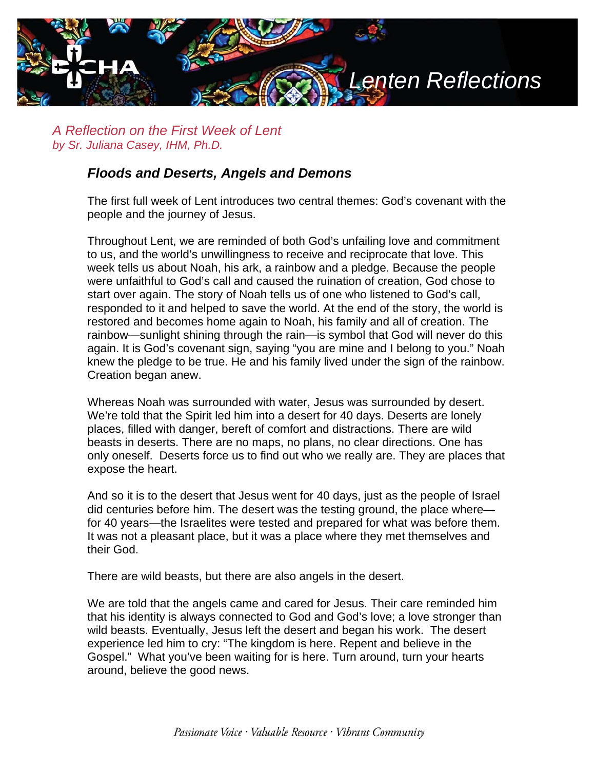

*A Reflection on the First Week of Lent by Sr. Juliana Casey, IHM, Ph.D.*

## *Floods and Deserts, Angels and Demons*

The first full week of Lent introduces two central themes: God's covenant with the people and the journey of Jesus.

Throughout Lent, we are reminded of both God's unfailing love and commitment to us, and the world's unwillingness to receive and reciprocate that love. This week tells us about Noah, his ark, a rainbow and a pledge. Because the people were unfaithful to God's call and caused the ruination of creation, God chose to start over again. The story of Noah tells us of one who listened to God's call, responded to it and helped to save the world. At the end of the story, the world is restored and becomes home again to Noah, his family and all of creation. The rainbow—sunlight shining through the rain—is symbol that God will never do this again. It is God's covenant sign, saying "you are mine and I belong to you." Noah knew the pledge to be true. He and his family lived under the sign of the rainbow. Creation began anew.

Whereas Noah was surrounded with water, Jesus was surrounded by desert. We're told that the Spirit led him into a desert for 40 days. Deserts are lonely places, filled with danger, bereft of comfort and distractions. There are wild beasts in deserts. There are no maps, no plans, no clear directions. One has only oneself. Deserts force us to find out who we really are. They are places that expose the heart.

And so it is to the desert that Jesus went for 40 days, just as the people of Israel did centuries before him. The desert was the testing ground, the place where for 40 years—the Israelites were tested and prepared for what was before them. It was not a pleasant place, but it was a place where they met themselves and their God.

There are wild beasts, but there are also angels in the desert.

We are told that the angels came and cared for Jesus. Their care reminded him that his identity is always connected to God and God's love; a love stronger than wild beasts. Eventually, Jesus left the desert and began his work. The desert experience led him to cry: "The kingdom is here. Repent and believe in the Gospel." What you've been waiting for is here. Turn around, turn your hearts around, believe the good news.